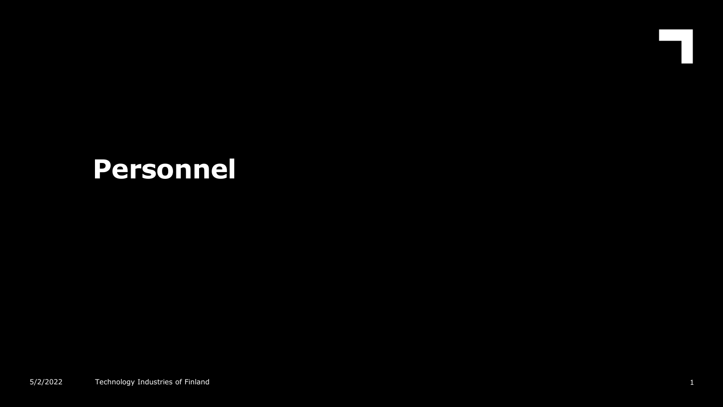# **Personnel**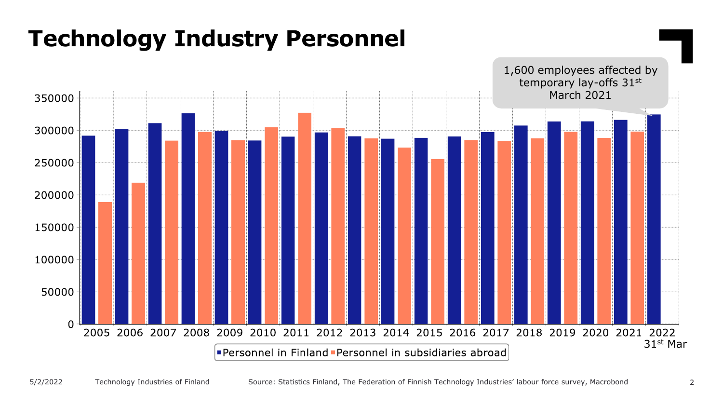#### **Technology Industry Personnel** 1,600 employees affected by temporary lay-offs 31st March 2021 350000 300000  $250000 200000 +$  $150000 +$  $100000+$ 50000 C 2005 2006 2007 2008 2009 2010 2011 2012 2013 2014 2015 2016 2017 2018 2019 2020 2021 2022 31st MarPersonnel in Finland Personnel in subsidiaries abroad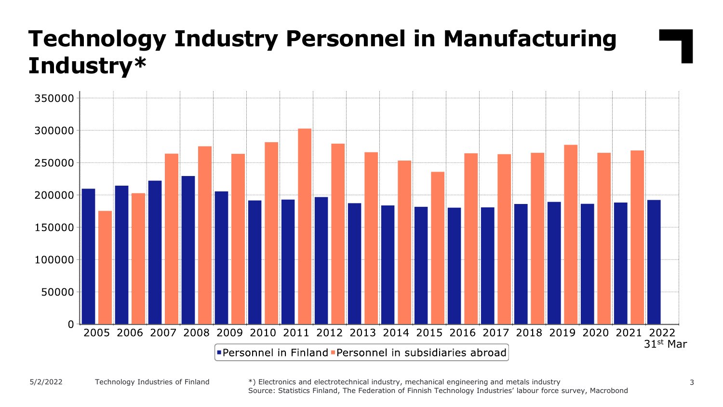## **Technology Industry Personnel in Manufacturing Industry\***



5/2/2022 Technology Industries of Finland \*) Electronics and electrotechnical industry, mechanical engineering and metals industry 3 Source: Statistics Finland, The Federation of Finnish Technology Industries' labour force survey, Macrobond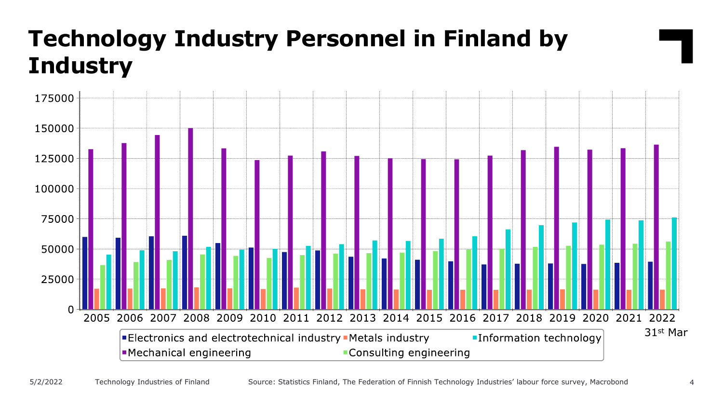## **Technology Industry Personnel in Finland by Industry**

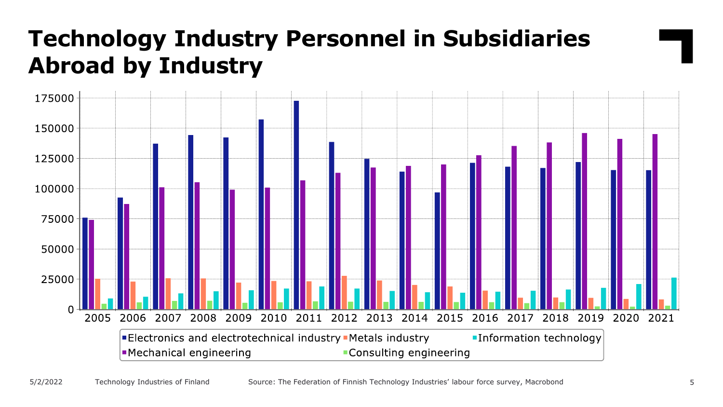#### **Technology Industry Personnel in Subsidiaries Abroad by Industry**

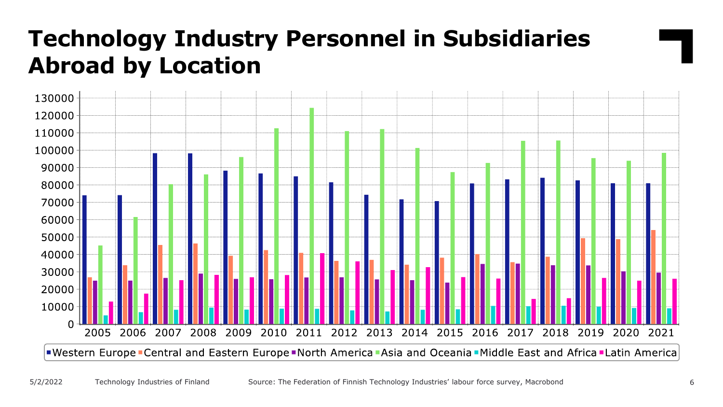## **Technology Industry Personnel in Subsidiaries Abroad by Location**

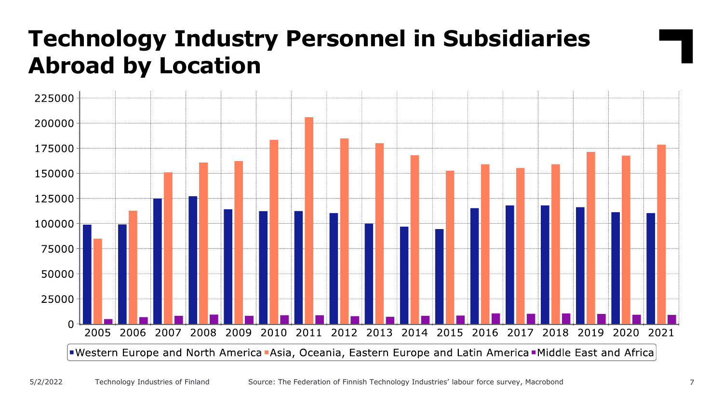#### **Technology Industry Personnel in Subsidiaries Abroad by Location**

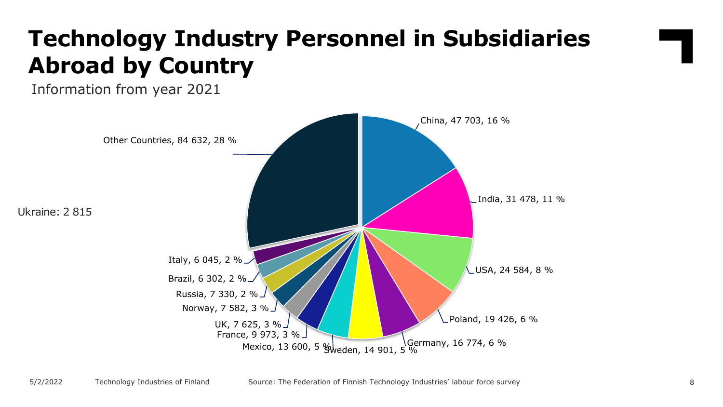## **Technology Industry Personnel in Subsidiaries Abroad by Country**

Information from year 2021

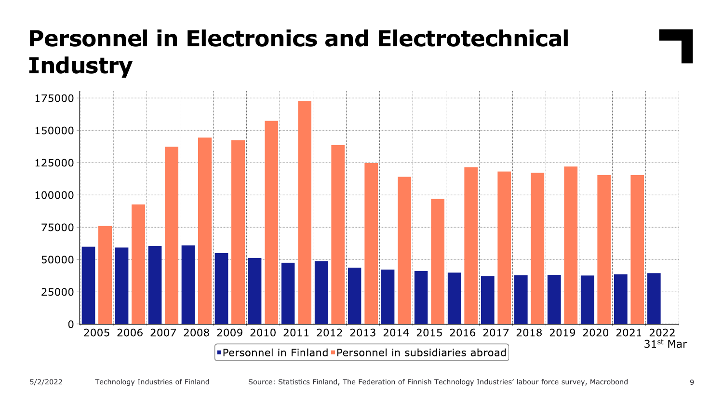## **Personnel in Electronics and Electrotechnical Industry**

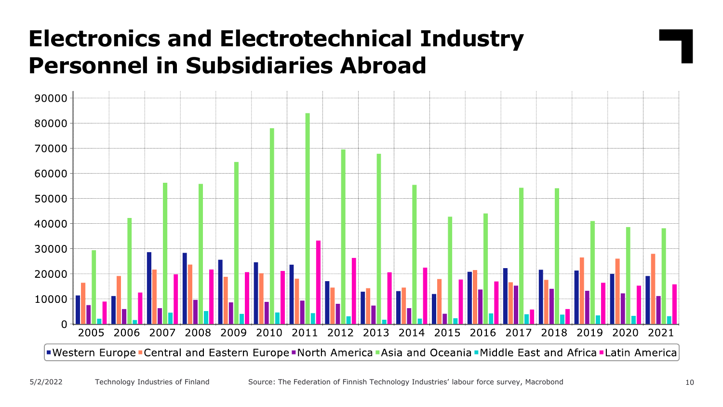#### **Electronics and Electrotechnical Industry Personnel in Subsidiaries Abroad**

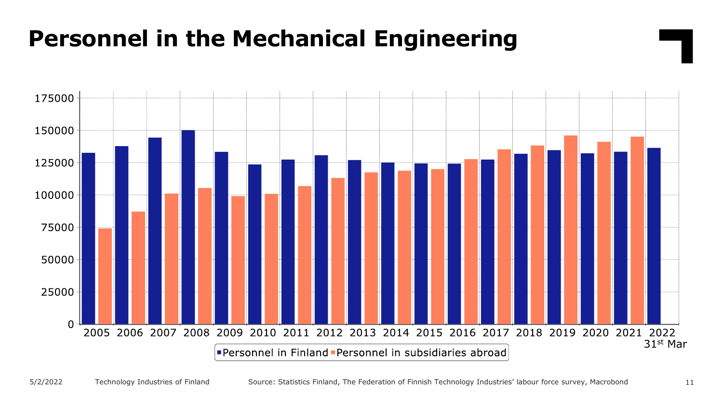#### **Personnel in the Mechanical Engineering**

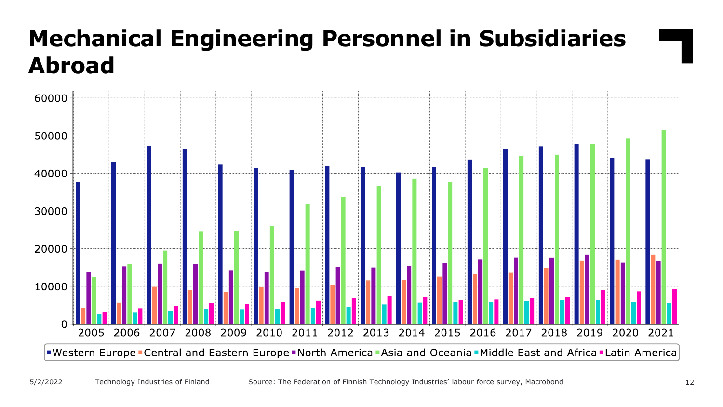## **Mechanical Engineering Personnel in Subsidiaries Abroad**

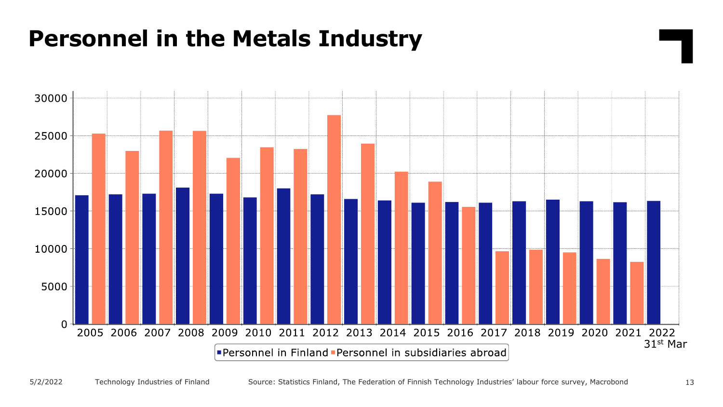#### **Personnel in the Metals Industry**

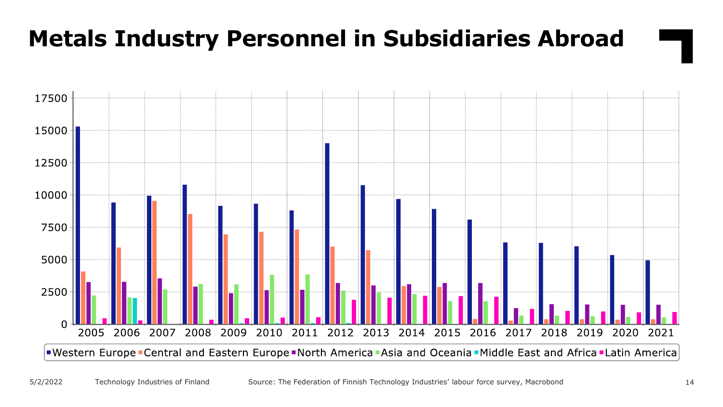#### **Metals Industry Personnel in Subsidiaries Abroad**

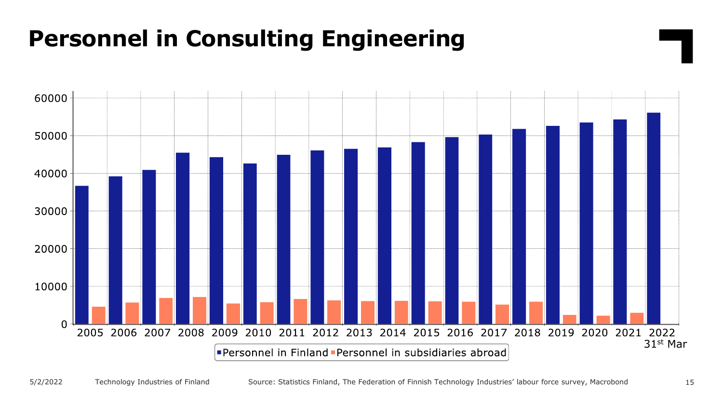#### **Personnel in Consulting Engineering**

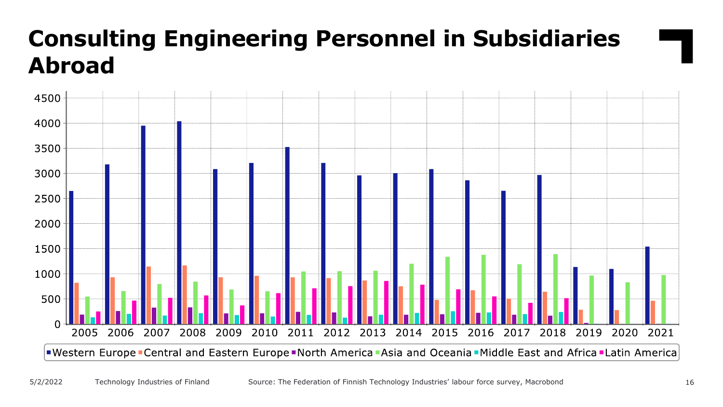## **Consulting Engineering Personnel in Subsidiaries Abroad**

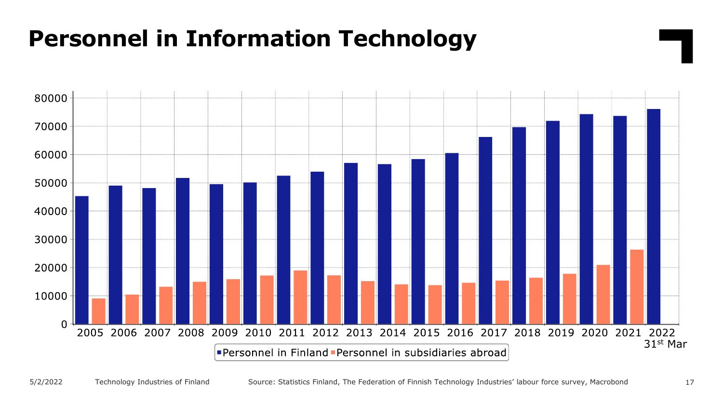#### **Personnel in Information Technology**